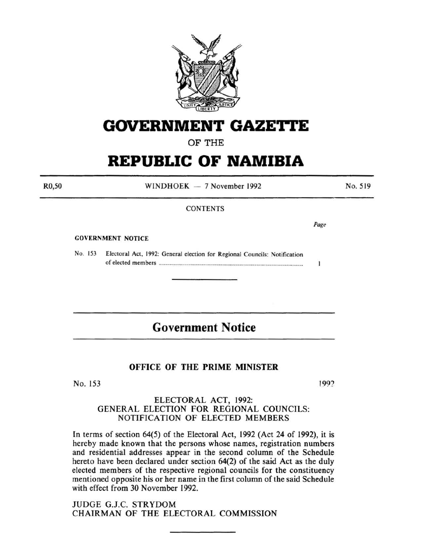

## **GOVERNMENT GAZE'rtE**

OF THE

# **REPUBLIC OF NAMIBIA**

R0,50

 $WINDHOEK - 7 November 1992$ 

No. 519

#### **CONTENTS**

GOVERNMENT NOTICE

No. 153 Electoral Act, 1992: General election for Regional Councils: Notification of elected members ............................................................................................................ .

## **Government Notice**

### OFFICE OF THE PRIME MINISTER

 $No. 153$  (1992)

Page

 $\mathbf{1}$ 

### ELECTORAL ACT, 1992: GENERAL ELECTION FOR REGIONAL COUNCILS: NOTIFICATION OF ELECTED MEMBERS

In terms of section 64(5) of the Electoral Act, 1992 (Act 24 of 1992), it is hereby made known that the persons whose names, registration numbers and residential addresses appear in the second column of the Schedule hereto have been declared under section 64(2) of the said Act as the duly elected members of the respective regional councils for the constituency mentioned opposite his or her name in the first column of the said Schedule with effect from 30 November 1992.

JUDGE G.J.C. STRYDOM CHAIRMAN OF THE ELECTORAL COMMISSION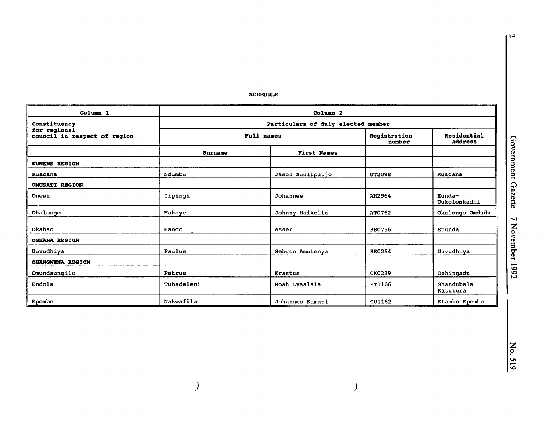**SCHEDULE** 

| Column <sub>1</sub>                                          | Column <sub>2</sub>                |                    |                        |                               |  |
|--------------------------------------------------------------|------------------------------------|--------------------|------------------------|-------------------------------|--|
| Constituency<br>for regional<br>council in respect of region | Particulars of duly elected member |                    |                        |                               |  |
|                                                              | Full names                         |                    | Registration<br>number | Residential<br><b>Address</b> |  |
|                                                              | <b>Surname</b>                     | <b>First Names</b> |                        |                               |  |
| <b>KUNENE REGION</b>                                         |                                    |                    |                        |                               |  |
| Ruacana                                                      | Ndumbu                             | Jason Suuliputjo   | GT2098                 | Ruacana                       |  |
| <b>OMUSATI REGION</b>                                        |                                    |                    |                        |                               |  |
| Onesi                                                        | Iipingi                            | Johannes           | AH2964                 | Eunda-<br>Uukolonkadhi        |  |
| Okalongo                                                     | Hakaye                             | Johnny Haikella    | AT0762                 | Okalongo Omdudu               |  |
| Okahao                                                       | Hango                              | Asser              | <b>BB0756</b>          | Etunda                        |  |
| <b>OSHANA REGION</b>                                         |                                    |                    |                        |                               |  |
| Uuvudhiya                                                    | Paulus                             | Sebron Amutenya    | <b>BE0254</b>          | Uuvudhiya                     |  |
| <b>OHANGWENA REGION</b>                                      |                                    |                    |                        |                               |  |
| Omundaungilo                                                 | Petrus                             | <b>Erastus</b>     | <b>CK0239</b>          | Oshingadu                     |  |
| Endola                                                       | Tuhadeleni                         | Noah Lyaalala      | FT1166                 | Shandubala<br>Katutura        |  |
| Epembe                                                       | Nakwafila                          | Johannes Kamati    | CU1162                 | Etambo Epembe                 |  |

 $\overline{\phantom{a}}$ 

 $\overline{\phantom{0}}$